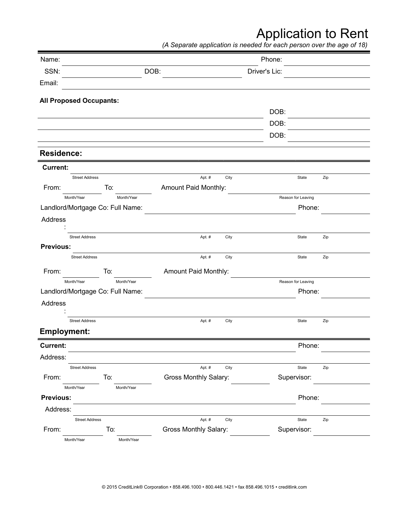## Application to Rent

*(A Separate application is needed for each person over the age of 18)*

| Name:                            |            |                              |      | Phone:        |                    |     |
|----------------------------------|------------|------------------------------|------|---------------|--------------------|-----|
| SSN:                             |            | DOB:                         |      | Driver's Lic: |                    |     |
| Email:                           |            |                              |      |               |                    |     |
| <b>All Proposed Occupants:</b>   |            |                              |      |               |                    |     |
|                                  |            |                              |      | DOB:          |                    |     |
|                                  |            |                              |      | DOB:          |                    |     |
|                                  |            |                              |      | DOB:          |                    |     |
| <b>Residence:</b>                |            |                              |      |               |                    |     |
| <b>Current:</b>                  |            |                              |      |               |                    |     |
| <b>Street Address</b>            |            | Apt. #                       | City |               | State              | Zip |
| From:                            | To:        | Amount Paid Monthly:         |      |               |                    |     |
| Month/Year                       | Month/Year |                              |      |               | Reason for Leaving |     |
| Landlord/Mortgage Co: Full Name: |            |                              |      |               | Phone:             |     |
| Address                          |            |                              |      |               |                    |     |
| <b>Street Address</b>            |            | Apt. #                       | City |               | State              | Zip |
| <b>Previous:</b>                 |            |                              |      |               |                    |     |
| <b>Street Address</b>            |            | Apt. #                       | City |               | State              | Zip |
| From:                            | To:        | Amount Paid Monthly:         |      |               |                    |     |
| Month/Year                       | Month/Year |                              |      |               | Reason for Leaving |     |
| Landlord/Mortgage Co: Full Name: |            |                              |      |               | Phone:             |     |
| Address                          |            |                              |      |               |                    |     |
| <b>Street Address</b>            |            | Apt. #                       | City |               | State              | Zip |
| <b>Employment:</b>               |            |                              |      |               |                    |     |
| <b>Current:</b>                  |            |                              |      |               | Phone:             |     |
| Address:                         |            |                              |      |               |                    |     |
| <b>Street Address</b>            |            | Apt. #                       | City |               | State              | Zip |
| From:                            | To:        | <b>Gross Monthly Salary:</b> |      |               | Supervisor:        |     |
| Month/Year                       | Month/Year |                              |      |               |                    |     |
| Previous:                        |            |                              |      |               | Phone:             |     |
| Address:                         |            |                              |      |               |                    |     |
| <b>Street Address</b>            |            | Apt. #                       | City |               | State              | Zip |
| From:                            | To:        | <b>Gross Monthly Salary:</b> |      |               | Supervisor:        |     |
| Month/Year                       | Month/Year |                              |      |               |                    |     |